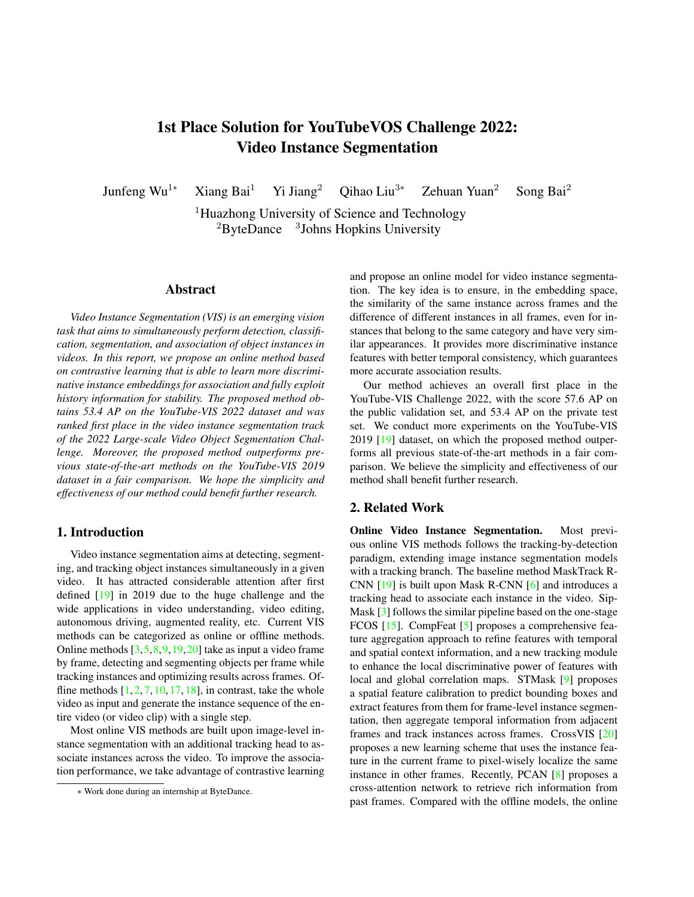# <span id="page-0-0"></span>1st Place Solution for YouTubeVOS Challenge 2022: Video Instance Segmentation

Junfeng Wu<sup>1∗</sup> Xiang Bai<sup>1</sup> Yi Jiang<sup>2</sup> Qihao Liu<sup>3∗</sup> Zehuan Yuan<sup>2</sup> Song Bai<sup>2</sup>

<sup>1</sup>Huazhong University of Science and Technology  ${}^{2}$ ByteDance  ${}^{3}$ Johns Hopkins University

#### Abstract

*Video Instance Segmentation (VIS) is an emerging vision task that aims to simultaneously perform detection, classification, segmentation, and association of object instances in videos. In this report, we propose an online method based on contrastive learning that is able to learn more discriminative instance embeddings for association and fully exploit history information for stability. The proposed method obtains 53.4 AP on the YouTube-VIS 2022 dataset and was ranked first place in the video instance segmentation track of the 2022 Large-scale Video Object Segmentation Challenge. Moreover, the proposed method outperforms previous state-of-the-art methods on the YouTube-VIS 2019 dataset in a fair comparison. We hope the simplicity and effectiveness of our method could benefit further research.*

## 1. Introduction

Video instance segmentation aims at detecting, segmenting, and tracking object instances simultaneously in a given video. It has attracted considerable attention after first defined [\[19\]](#page-3-0) in 2019 due to the huge challenge and the wide applications in video understanding, video editing, autonomous driving, augmented reality, etc. Current VIS methods can be categorized as online or offline methods. Online methods [\[3,](#page-3-1)[5,](#page-3-2)[8,](#page-3-3)[9,](#page-3-4)[19,](#page-3-0)[20\]](#page-3-5) take as input a video frame by frame, detecting and segmenting objects per frame while tracking instances and optimizing results across frames. Offline methods  $[1, 2, 7, 10, 17, 18]$  $[1, 2, 7, 10, 17, 18]$  $[1, 2, 7, 10, 17, 18]$  $[1, 2, 7, 10, 17, 18]$  $[1, 2, 7, 10, 17, 18]$  $[1, 2, 7, 10, 17, 18]$  $[1, 2, 7, 10, 17, 18]$  $[1, 2, 7, 10, 17, 18]$  $[1, 2, 7, 10, 17, 18]$  $[1, 2, 7, 10, 17, 18]$  $[1, 2, 7, 10, 17, 18]$ , in contrast, take the whole video as input and generate the instance sequence of the entire video (or video clip) with a single step.

Most online VIS methods are built upon image-level instance segmentation with an additional tracking head to associate instances across the video. To improve the association performance, we take advantage of contrastive learning and propose an online model for video instance segmentation. The key idea is to ensure, in the embedding space, the similarity of the same instance across frames and the difference of different instances in all frames, even for instances that belong to the same category and have very similar appearances. It provides more discriminative instance features with better temporal consistency, which guarantees more accurate association results.

Our method achieves an overall first place in the YouTube-VIS Challenge 2022, with the score 57.6 AP on the public validation set, and 53.4 AP on the private test set. We conduct more experiments on the YouTube-VIS 2019 [\[19\]](#page-3-0) dataset, on which the proposed method outperforms all previous state-of-the-art methods in a fair comparison. We believe the simplicity and effectiveness of our method shall benefit further research.

## 2. Related Work

Online Video Instance Segmentation. Most previous online VIS methods follows the tracking-by-detection paradigm, extending image instance segmentation models with a tracking branch. The baseline method MaskTrack R-CNN [\[19\]](#page-3-0) is built upon Mask R-CNN [\[6\]](#page-3-12) and introduces a tracking head to associate each instance in the video. Sip-Mask [\[3\]](#page-3-1) follows the similar pipeline based on the one-stage FCOS [\[15\]](#page-3-13). CompFeat [\[5\]](#page-3-2) proposes a comprehensive feature aggregation approach to refine features with temporal and spatial context information, and a new tracking module to enhance the local discriminative power of features with local and global correlation maps. STMask [\[9\]](#page-3-4) proposes a spatial feature calibration to predict bounding boxes and extract features from them for frame-level instance segmentation, then aggregate temporal information from adjacent frames and track instances across frames. CrossVIS [\[20\]](#page-3-5) proposes a new learning scheme that uses the instance feature in the current frame to pixel-wisely localize the same instance in other frames. Recently, PCAN [\[8\]](#page-3-3) proposes a cross-attention network to retrieve rich information from past frames. Compared with the offline models, the online

<sup>∗</sup> Work done during an internship at ByteDance.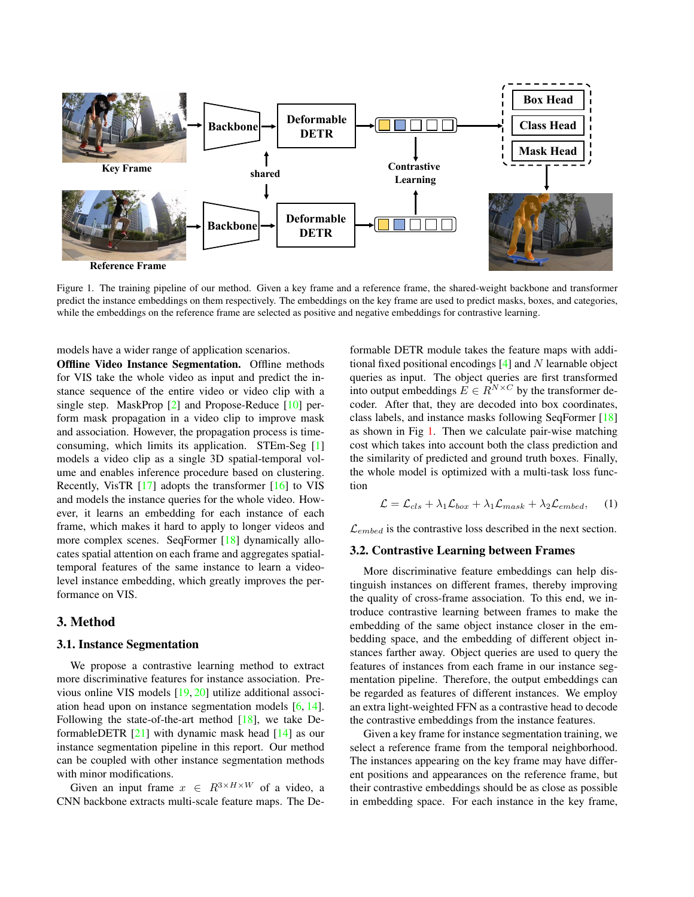<span id="page-1-1"></span><span id="page-1-0"></span>

Figure 1. The training pipeline of our method. Given a key frame and a reference frame, the shared-weight backbone and transformer predict the instance embeddings on them respectively. The embeddings on the key frame are used to predict masks, boxes, and categories, while the embeddings on the reference frame are selected as positive and negative embeddings for contrastive learning.

models have a wider range of application scenarios.

Offline Video Instance Segmentation. Offline methods for VIS take the whole video as input and predict the instance sequence of the entire video or video clip with a single step. MaskProp [\[2\]](#page-3-7) and Propose-Reduce [\[10\]](#page-3-9) perform mask propagation in a video clip to improve mask and association. However, the propagation process is timeconsuming, which limits its application. STEm-Seg [\[1\]](#page-3-6) models a video clip as a single 3D spatial-temporal volume and enables inference procedure based on clustering. Recently, VisTR [\[17\]](#page-3-10) adopts the transformer [\[16\]](#page-3-14) to VIS and models the instance queries for the whole video. However, it learns an embedding for each instance of each frame, which makes it hard to apply to longer videos and more complex scenes. SeqFormer [\[18\]](#page-3-11) dynamically allocates spatial attention on each frame and aggregates spatialtemporal features of the same instance to learn a videolevel instance embedding, which greatly improves the performance on VIS.

## 3. Method

#### 3.1. Instance Segmentation

We propose a contrastive learning method to extract more discriminative features for instance association. Previous online VIS models [\[19,](#page-3-0) [20\]](#page-3-5) utilize additional association head upon on instance segmentation models [\[6,](#page-3-12) [14\]](#page-3-15). Following the state-of-the-art method  $[18]$ , we take DeformableDETR [\[21\]](#page-3-16) with dynamic mask head [\[14\]](#page-3-15) as our instance segmentation pipeline in this report. Our method can be coupled with other instance segmentation methods with minor modifications.

Given an input frame  $x \in R^{3 \times H \times W}$  of a video, a CNN backbone extracts multi-scale feature maps. The Deformable DETR module takes the feature maps with additional fixed positional encodings  $[4]$  and N learnable object queries as input. The object queries are first transformed into output embeddings  $E \in R^{N \times C}$  by the transformer decoder. After that, they are decoded into box coordinates, class labels, and instance masks following SeqFormer [\[18\]](#page-3-11) as shown in Fig [1.](#page-1-0) Then we calculate pair-wise matching cost which takes into account both the class prediction and the similarity of predicted and ground truth boxes. Finally, the whole model is optimized with a multi-task loss function

$$
\mathcal{L} = \mathcal{L}_{cls} + \lambda_1 \mathcal{L}_{box} + \lambda_1 \mathcal{L}_{mask} + \lambda_2 \mathcal{L}_{embed}, \quad (1)
$$

 $\mathcal{L}_{embed}$  is the contrastive loss described in the next section.

#### 3.2. Contrastive Learning between Frames

More discriminative feature embeddings can help distinguish instances on different frames, thereby improving the quality of cross-frame association. To this end, we introduce contrastive learning between frames to make the embedding of the same object instance closer in the embedding space, and the embedding of different object instances farther away. Object queries are used to query the features of instances from each frame in our instance segmentation pipeline. Therefore, the output embeddings can be regarded as features of different instances. We employ an extra light-weighted FFN as a contrastive head to decode the contrastive embeddings from the instance features.

Given a key frame for instance segmentation training, we select a reference frame from the temporal neighborhood. The instances appearing on the key frame may have different positions and appearances on the reference frame, but their contrastive embeddings should be as close as possible in embedding space. For each instance in the key frame,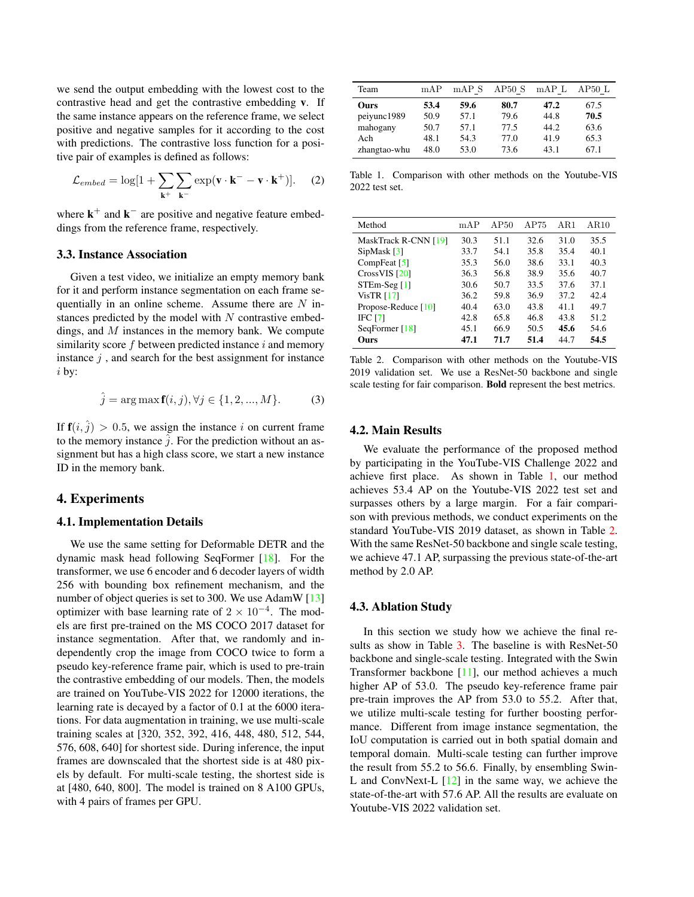<span id="page-2-2"></span>we send the output embedding with the lowest cost to the contrastive head and get the contrastive embedding v. If the same instance appears on the reference frame, we select positive and negative samples for it according to the cost with predictions. The contrastive loss function for a positive pair of examples is defined as follows:

$$
\mathcal{L}_{embed} = \log[1 + \sum_{\mathbf{k}^+} \sum_{\mathbf{k}^-} \exp(\mathbf{v} \cdot \mathbf{k}^- - \mathbf{v} \cdot \mathbf{k}^+)]. \tag{2}
$$

where  $\mathbf{k}^+$  and  $\mathbf{k}^-$  are positive and negative feature embeddings from the reference frame, respectively.

## 3.3. Instance Association

Given a test video, we initialize an empty memory bank for it and perform instance segmentation on each frame sequentially in an online scheme. Assume there are  $N$  instances predicted by the model with  $N$  contrastive embeddings, and  $M$  instances in the memory bank. We compute similarity score  $f$  between predicted instance  $i$  and memory instance  $j$ , and search for the best assignment for instance i by:

$$
\hat{j} = \arg \max f(i, j), \forall j \in \{1, 2, ..., M\}.
$$
 (3)

If  $f(i, \hat{j}) > 0.5$ , we assign the instance i on current frame to the memory instance  $\hat{j}$ . For the prediction without an assignment but has a high class score, we start a new instance ID in the memory bank.

#### 4. Experiments

#### 4.1. Implementation Details

We use the same setting for Deformable DETR and the dynamic mask head following SeqFormer [\[18\]](#page-3-11). For the transformer, we use 6 encoder and 6 decoder layers of width 256 with bounding box refinement mechanism, and the number of object queries is set to 300. We use AdamW [\[13\]](#page-3-18) optimizer with base learning rate of  $2 \times 10^{-4}$ . The models are first pre-trained on the MS COCO 2017 dataset for instance segmentation. After that, we randomly and independently crop the image from COCO twice to form a pseudo key-reference frame pair, which is used to pre-train the contrastive embedding of our models. Then, the models are trained on YouTube-VIS 2022 for 12000 iterations, the learning rate is decayed by a factor of 0.1 at the 6000 iterations. For data augmentation in training, we use multi-scale training scales at [320, 352, 392, 416, 448, 480, 512, 544, 576, 608, 640] for shortest side. During inference, the input frames are downscaled that the shortest side is at 480 pixels by default. For multi-scale testing, the shortest side is at [480, 640, 800]. The model is trained on 8 A100 GPUs, with 4 pairs of frames per GPU.

<span id="page-2-0"></span>

| Team         | mAP  | mAP S | AP50S | mAPL | AP50L |
|--------------|------|-------|-------|------|-------|
| Ours         | 53.4 | 59.6  | 80.7  | 47.2 | 67.5  |
| peiyunc1989  | 50.9 | 57.1  | 79.6  | 44.8 | 70.5  |
| mahogany     | 50.7 | 57.1  | 77.5  | 44.2 | 63.6  |
| Ach          | 48.1 | 54.3  | 77.0  | 41.9 | 65.3  |
| zhangtao-whu | 48.0 | 53.0  | 73.6  | 43.1 | 67.1  |

Table 1. Comparison with other methods on the Youtube-VIS 2022 test set.

<span id="page-2-1"></span>

| Method               | mAP  | AP50 | AP75 | AR1  | AR10 |
|----------------------|------|------|------|------|------|
| MaskTrack R-CNN [19] | 30.3 | 51.1 | 32.6 | 31.0 | 35.5 |
| SipMask [3]          | 33.7 | 54.1 | 35.8 | 35.4 | 40.1 |
| CompFeat $[5]$       | 35.3 | 56.0 | 38.6 | 33.1 | 40.3 |
| CrossVIS [20]        | 36.3 | 56.8 | 38.9 | 35.6 | 40.7 |
| $STEm-Seg[1]$        | 30.6 | 50.7 | 33.5 | 37.6 | 37.1 |
| VisTR $[17]$         | 36.2 | 59.8 | 36.9 | 37.2 | 42.4 |
| Propose-Reduce [10]  | 40.4 | 63.0 | 43.8 | 41.1 | 49.7 |
| <b>IFC [7]</b>       | 42.8 | 65.8 | 46.8 | 43.8 | 51.2 |
| SeqFormer [18]       | 45.1 | 66.9 | 50.5 | 45.6 | 54.6 |
| Ours                 | 47.1 | 71.7 | 51.4 | 44.7 | 54.5 |
|                      |      |      |      |      |      |

Table 2. Comparison with other methods on the Youtube-VIS 2019 validation set. We use a ResNet-50 backbone and single scale testing for fair comparison. Bold represent the best metrics.

#### 4.2. Main Results

We evaluate the performance of the proposed method by participating in the YouTube-VIS Challenge 2022 and achieve first place. As shown in Table [1,](#page-2-0) our method achieves 53.4 AP on the Youtube-VIS 2022 test set and surpasses others by a large margin. For a fair comparison with previous methods, we conduct experiments on the standard YouTube-VIS 2019 dataset, as shown in Table [2.](#page-2-1) With the same ResNet-50 backbone and single scale testing, we achieve 47.1 AP, surpassing the previous state-of-the-art method by 2.0 AP.

#### 4.3. Ablation Study

In this section we study how we achieve the final re-sults as show in Table [3.](#page-3-19) The baseline is with ResNet-50 backbone and single-scale testing. Integrated with the Swin Transformer backbone [\[11\]](#page-3-20), our method achieves a much higher AP of 53.0. The pseudo key-reference frame pair pre-train improves the AP from 53.0 to 55.2. After that, we utilize multi-scale testing for further boosting performance. Different from image instance segmentation, the IoU computation is carried out in both spatial domain and temporal domain. Multi-scale testing can further improve the result from 55.2 to 56.6. Finally, by ensembling Swin-L and ConvNext-L  $[12]$  in the same way, we achieve the state-of-the-art with 57.6 AP. All the results are evaluate on Youtube-VIS 2022 validation set.